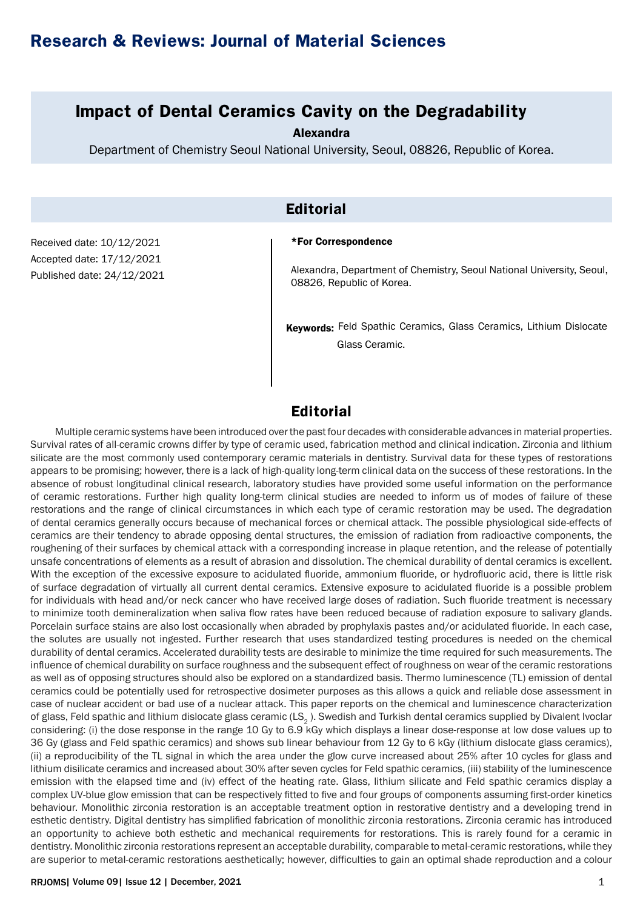# **Research & Reviews: Journal of Material Sciences**

## **Impact of Dental Ceramics Cavity on the Degradability**

Alexandra

Department of Chemistry Seoul National University, Seoul, 08826, Republic of Korea.

## **Editorial**

Received date: 10/12/2021 Accepted date: 17/12/2021 Published date: 24/12/2021

#### \*For Correspondence

Alexandra, Department of Chemistry, Seoul National University, Seoul, 08826, Republic of Korea.

Keywords: Feld Spathic Ceramics, Glass Ceramics, Lithium Dislocate Glass Ceramic.

### **Editorial**

Multiple ceramic systems have been introduced over the past four decades with considerable advances in material properties. Survival rates of all-ceramic crowns differ by type of ceramic used, fabrication method and clinical indication. Zirconia and lithium silicate are the most commonly used contemporary ceramic materials in dentistry. Survival data for these types of restorations appears to be promising; however, there is a lack of high-quality long-term clinical data on the success of these restorations. In the absence of robust longitudinal clinical research, laboratory studies have provided some useful information on the performance of ceramic restorations. Further high quality long-term clinical studies are needed to inform us of modes of failure of these restorations and the range of clinical circumstances in which each type of ceramic restoration may be used. The degradation of dental ceramics generally occurs because of mechanical forces or chemical attack. The possible physiological side-effects of ceramics are their tendency to abrade opposing dental structures, the emission of radiation from radioactive components, the roughening of their surfaces by chemical attack with a corresponding increase in plaque retention, and the release of potentially unsafe concentrations of elements as a result of abrasion and dissolution. The chemical durability of dental ceramics is excellent. With the exception of the excessive exposure to acidulated fluoride, ammonium fluoride, or hydrofluoric acid, there is little risk of surface degradation of virtually all current dental ceramics. Extensive exposure to acidulated fluoride is a possible problem for individuals with head and/or neck cancer who have received large doses of radiation. Such fluoride treatment is necessary to minimize tooth demineralization when saliva flow rates have been reduced because of radiation exposure to salivary glands. Porcelain surface stains are also lost occasionally when abraded by prophylaxis pastes and/or acidulated fluoride. In each case, the solutes are usually not ingested. Further research that uses standardized testing procedures is needed on the chemical durability of dental ceramics. Accelerated durability tests are desirable to minimize the time required for such measurements. The influence of chemical durability on surface roughness and the subsequent effect of roughness on wear of the ceramic restorations as well as of opposing structures should also be explored on a standardized basis. Thermo luminescence (TL) emission of dental ceramics could be potentially used for retrospective dosimeter purposes as this allows a quick and reliable dose assessment in case of nuclear accident or bad use of a nuclear attack. This paper reports on the chemical and luminescence characterization of glass, Feld spathic and lithium dislocate glass ceramic  $(LS<sub>2</sub>)$ . Swedish and Turkish dental ceramics supplied by Divalent Ivoclar considering: (i) the dose response in the range 10 Gy to 6.9 kGy which displays a linear dose-response at low dose values up to 36 Gy (glass and Feld spathic ceramics) and shows sub linear behaviour from 12 Gy to 6 kGy (lithium dislocate glass ceramics), (ii) a reproducibility of the TL signal in which the area under the glow curve increased about 25% after 10 cycles for glass and lithium disilicate ceramics and increased about 30% after seven cycles for Feld spathic ceramics, (iii) stability of the luminescence emission with the elapsed time and (iv) effect of the heating rate. Glass, lithium silicate and Feld spathic ceramics display a complex UV-blue glow emission that can be respectively fitted to five and four groups of components assuming first-order kinetics behaviour. Monolithic zirconia restoration is an acceptable treatment option in restorative dentistry and a developing trend in esthetic dentistry. Digital dentistry has simplified fabrication of monolithic zirconia restorations. Zirconia ceramic has introduced an opportunity to achieve both esthetic and mechanical requirements for restorations. This is rarely found for a ceramic in dentistry. Monolithic zirconia restorations represent an acceptable durability, comparable to metal-ceramic restorations, while they are superior to metal-ceramic restorations aesthetically; however, difficulties to gain an optimal shade reproduction and a colour